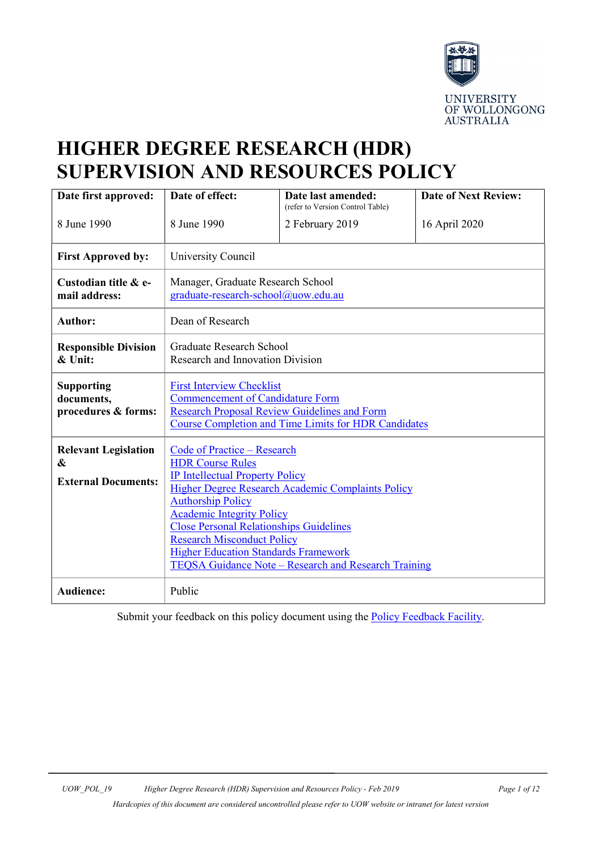

# **HIGHER DEGREE RESEARCH (HDR) SUPERVISION AND RESOURCES POLICY**

| Date first approved:                                           | Date of effect:                                                                                                                                                                                                                                                                                                                                                                                                     | Date last amended:<br>(refer to Version Control Table) | <b>Date of Next Review:</b> |  |
|----------------------------------------------------------------|---------------------------------------------------------------------------------------------------------------------------------------------------------------------------------------------------------------------------------------------------------------------------------------------------------------------------------------------------------------------------------------------------------------------|--------------------------------------------------------|-----------------------------|--|
| 8 June 1990                                                    | 8 June 1990                                                                                                                                                                                                                                                                                                                                                                                                         | 2 February 2019                                        | 16 April 2020               |  |
| <b>First Approved by:</b>                                      | University Council                                                                                                                                                                                                                                                                                                                                                                                                  |                                                        |                             |  |
| Custodian title & e-<br>mail address:                          | Manager, Graduate Research School<br>graduate-research-school@uow.edu.au                                                                                                                                                                                                                                                                                                                                            |                                                        |                             |  |
| <b>Author:</b>                                                 | Dean of Research                                                                                                                                                                                                                                                                                                                                                                                                    |                                                        |                             |  |
| <b>Responsible Division</b><br>& Unit:                         | <b>Graduate Research School</b><br>Research and Innovation Division                                                                                                                                                                                                                                                                                                                                                 |                                                        |                             |  |
| <b>Supporting</b><br>documents,<br>procedures & forms:         | <b>First Interview Checklist</b><br><b>Commencement of Candidature Form</b><br><b>Research Proposal Review Guidelines and Form</b><br><b>Course Completion and Time Limits for HDR Candidates</b>                                                                                                                                                                                                                   |                                                        |                             |  |
| <b>Relevant Legislation</b><br>&<br><b>External Documents:</b> | Code of Practice - Research<br><b>HDR Course Rules</b><br><b>IP Intellectual Property Policy</b><br>Higher Degree Research Academic Complaints Policy<br><b>Authorship Policy</b><br><b>Academic Integrity Policy</b><br><b>Close Personal Relationships Guidelines</b><br><b>Research Misconduct Policy</b><br><b>Higher Education Standards Framework</b><br>TEQSA Guidance Note – Research and Research Training |                                                        |                             |  |
| <b>Audience:</b>                                               | Public                                                                                                                                                                                                                                                                                                                                                                                                              |                                                        |                             |  |

Submit your feedback on this policy document using the **Policy Feedback Facility**.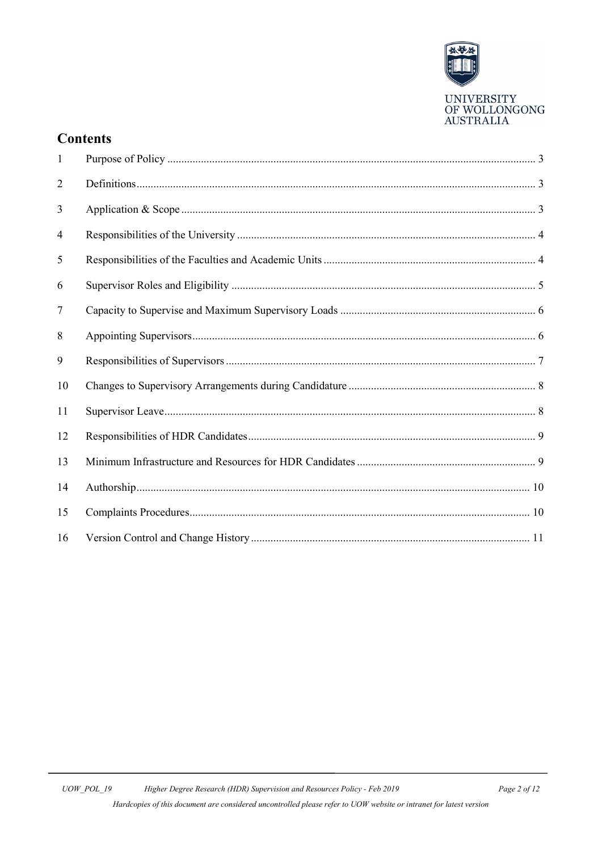

# **Contents**

| $\mathbf{1}$ |  |
|--------------|--|
| 2            |  |
| 3            |  |
| 4            |  |
| 5            |  |
| 6            |  |
| 7            |  |
| 8            |  |
| 9            |  |
| 10           |  |
| 11           |  |
| 12           |  |
| 13           |  |
| 14           |  |
| 15           |  |
| 16           |  |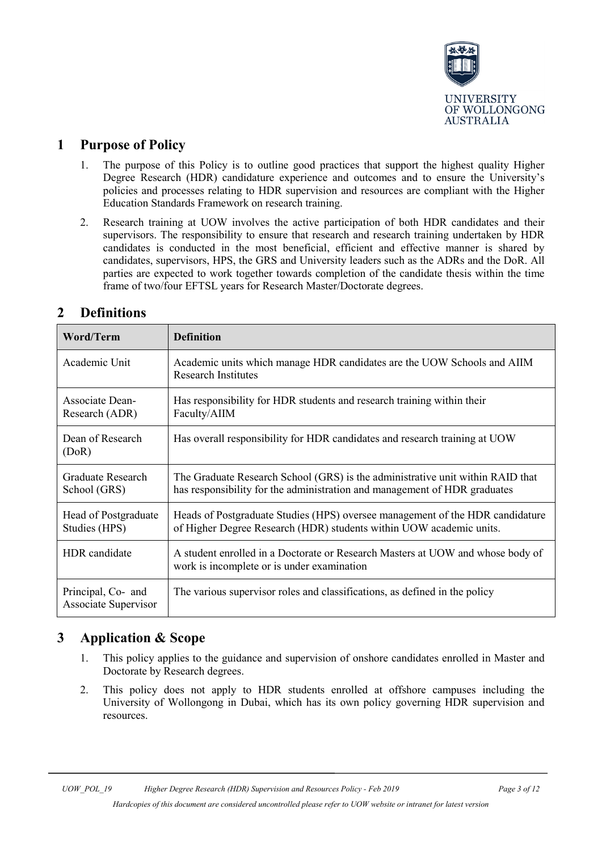

# <span id="page-2-0"></span>**1 Purpose of Policy**

- 1. The purpose of this Policy is to outline good practices that support the highest quality Higher Degree Research (HDR) candidature experience and outcomes and to ensure the University's policies and processes relating to HDR supervision and resources are compliant with the Higher Education Standards Framework on research training.
- 2. Research training at UOW involves the active participation of both HDR candidates and their supervisors. The responsibility to ensure that research and research training undertaken by HDR candidates is conducted in the most beneficial, efficient and effective manner is shared by candidates, supervisors, HPS, the GRS and University leaders such as the ADRs and the DoR. All parties are expected to work together towards completion of the candidate thesis within the time frame of two/four EFTSL years for Research Master/Doctorate degrees.

| Word/Term                                  | <b>Definition</b>                                                                                                                                           |  |
|--------------------------------------------|-------------------------------------------------------------------------------------------------------------------------------------------------------------|--|
| Academic Unit                              | Academic units which manage HDR candidates are the UOW Schools and AIIM<br><b>Research Institutes</b>                                                       |  |
| <b>Associate Dean-</b><br>Research (ADR)   | Has responsibility for HDR students and research training within their<br>Faculty/AIIM                                                                      |  |
| Dean of Research<br>(DoR)                  | Has overall responsibility for HDR candidates and research training at UOW                                                                                  |  |
| Graduate Research<br>School (GRS)          | The Graduate Research School (GRS) is the administrative unit within RAID that<br>has responsibility for the administration and management of HDR graduates |  |
| Head of Postgraduate<br>Studies (HPS)      | Heads of Postgraduate Studies (HPS) oversee management of the HDR candidature<br>of Higher Degree Research (HDR) students within UOW academic units.        |  |
| HDR candidate                              | A student enrolled in a Doctorate or Research Masters at UOW and whose body of<br>work is incomplete or is under examination                                |  |
| Principal, Co- and<br>Associate Supervisor | The various supervisor roles and classifications, as defined in the policy                                                                                  |  |

# <span id="page-2-1"></span>**2 Definitions**

# <span id="page-2-2"></span>**3 Application & Scope**

- 1. This policy applies to the guidance and supervision of onshore candidates enrolled in Master and Doctorate by Research degrees.
- 2. This policy does not apply to HDR students enrolled at offshore campuses including the University of Wollongong in Dubai, which has its own policy governing HDR supervision and resources.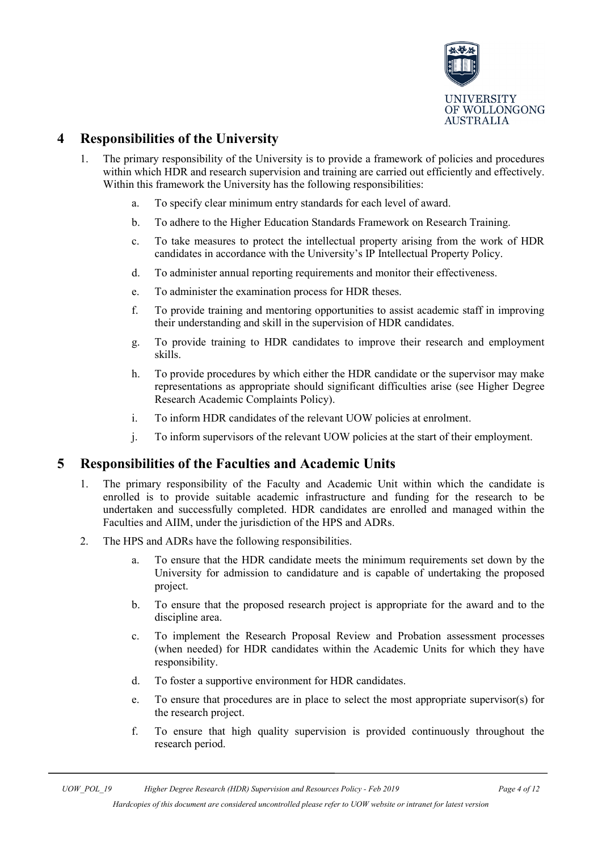

# <span id="page-3-0"></span>**4 Responsibilities of the University**

- 1. The primary responsibility of the University is to provide a framework of policies and procedures within which HDR and research supervision and training are carried out efficiently and effectively. Within this framework the University has the following responsibilities:
	- a. To specify clear minimum entry standards for each level of award.
	- b. To adhere to the Higher Education Standards Framework on Research Training.
	- c. To take measures to protect the intellectual property arising from the work of HDR candidates in accordance with the University's IP Intellectual Property Policy.
	- d. To administer annual reporting requirements and monitor their effectiveness.
	- e. To administer the examination process for HDR theses.
	- f. To provide training and mentoring opportunities to assist academic staff in improving their understanding and skill in the supervision of HDR candidates.
	- g. To provide training to HDR candidates to improve their research and employment skills.
	- h. To provide procedures by which either the HDR candidate or the supervisor may make representations as appropriate should significant difficulties arise (see Higher Degree Research Academic Complaints Policy).
	- i. To inform HDR candidates of the relevant UOW policies at enrolment.
	- j. To inform supervisors of the relevant UOW policies at the start of their employment.

### <span id="page-3-1"></span>**5 Responsibilities of the Faculties and Academic Units**

- 1. The primary responsibility of the Faculty and Academic Unit within which the candidate is enrolled is to provide suitable academic infrastructure and funding for the research to be undertaken and successfully completed. HDR candidates are enrolled and managed within the Faculties and AIIM, under the jurisdiction of the HPS and ADRs.
- 2. The HPS and ADRs have the following responsibilities.
	- a. To ensure that the HDR candidate meets the minimum requirements set down by the University for admission to candidature and is capable of undertaking the proposed project.
	- b. To ensure that the proposed research project is appropriate for the award and to the discipline area.
	- c. To implement the Research Proposal Review and Probation assessment processes (when needed) for HDR candidates within the Academic Units for which they have responsibility.
	- d. To foster a supportive environment for HDR candidates.
	- e. To ensure that procedures are in place to select the most appropriate supervisor(s) for the research project.
	- f. To ensure that high quality supervision is provided continuously throughout the research period.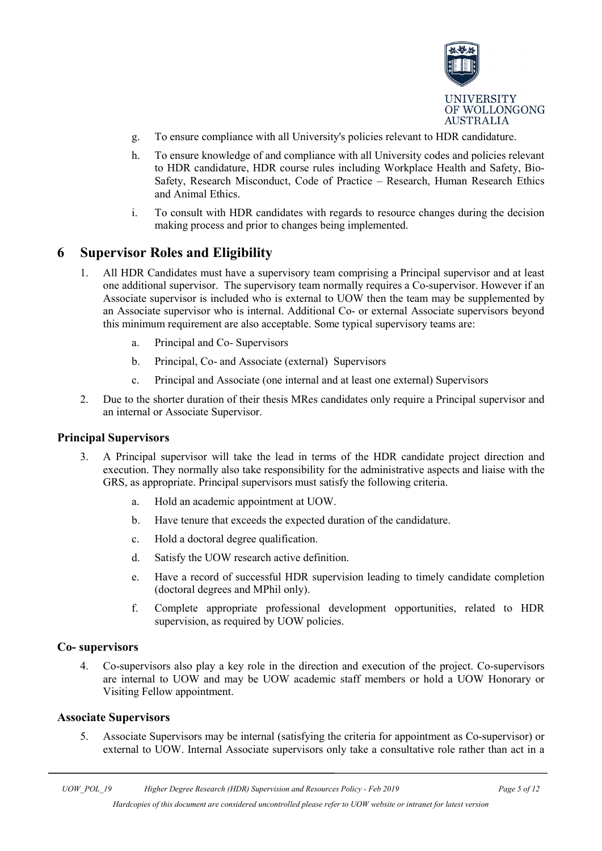

- g. To ensure compliance with all University's policies relevant to HDR candidature.
- h. To ensure knowledge of and compliance with all University codes and policies relevant to HDR candidature, HDR course rules including Workplace Health and Safety, Bio-Safety, Research Misconduct, Code of Practice – Research, Human Research Ethics and Animal Ethics.
- i. To consult with HDR candidates with regards to resource changes during the decision making process and prior to changes being implemented.

#### <span id="page-4-0"></span>**6 Supervisor Roles and Eligibility**

- 1. All HDR Candidates must have a supervisory team comprising a Principal supervisor and at least one additional supervisor. The supervisory team normally requires a Co-supervisor. However if an Associate supervisor is included who is external to UOW then the team may be supplemented by an Associate supervisor who is internal. Additional Co- or external Associate supervisors beyond this minimum requirement are also acceptable. Some typical supervisory teams are:
	- a. Principal and Co- Supervisors
	- b. Principal, Co- and Associate (external) Supervisors
	- c. Principal and Associate (one internal and at least one external) Supervisors
- 2. Due to the shorter duration of their thesis MRes candidates only require a Principal supervisor and an internal or Associate Supervisor.

#### **Principal Supervisors**

- 3. A Principal supervisor will take the lead in terms of the HDR candidate project direction and execution. They normally also take responsibility for the administrative aspects and liaise with the GRS, as appropriate. Principal supervisors must satisfy the following criteria.
	- a. Hold an academic appointment at UOW.
	- b. Have tenure that exceeds the expected duration of the candidature.
	- c. Hold a doctoral degree qualification.
	- d. Satisfy the UOW research active definition.
	- e. Have a record of successful HDR supervision leading to timely candidate completion (doctoral degrees and MPhil only).
	- f. Complete appropriate professional development opportunities, related to HDR supervision, as required by UOW policies.

#### **Co- supervisors**

4. Co-supervisors also play a key role in the direction and execution of the project. Co-supervisors are internal to UOW and may be UOW academic staff members or hold a UOW Honorary or Visiting Fellow appointment.

#### **Associate Supervisors**

5. Associate Supervisors may be internal (satisfying the criteria for appointment as Co-supervisor) or external to UOW. Internal Associate supervisors only take a consultative role rather than act in a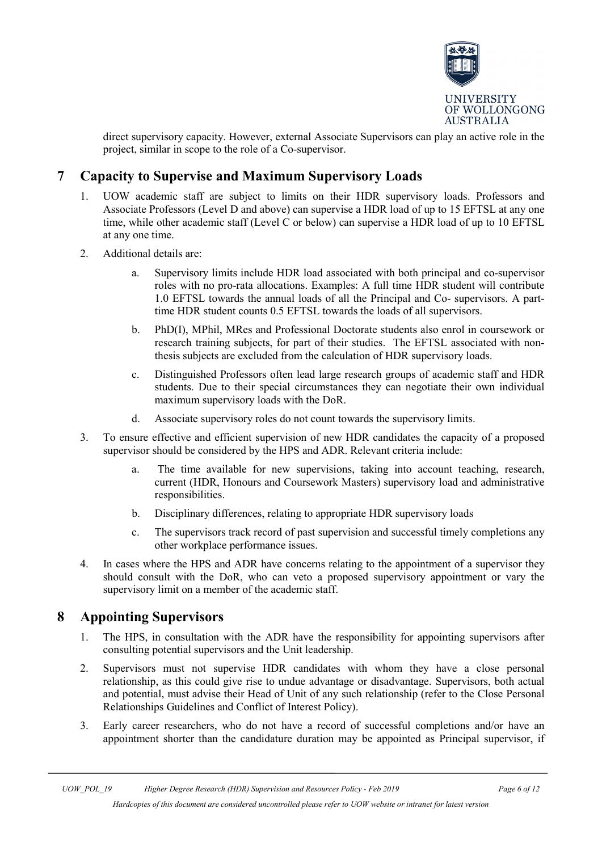

direct supervisory capacity. However, external Associate Supervisors can play an active role in the project, similar in scope to the role of a Co-supervisor.

# <span id="page-5-0"></span>**7 Capacity to Supervise and Maximum Supervisory Loads**

- 1. UOW academic staff are subject to limits on their HDR supervisory loads. Professors and Associate Professors (Level D and above) can supervise a HDR load of up to 15 EFTSL at any one time, while other academic staff (Level C or below) can supervise a HDR load of up to 10 EFTSL at any one time.
- 2. Additional details are:
	- a. Supervisory limits include HDR load associated with both principal and co-supervisor roles with no pro-rata allocations. Examples: A full time HDR student will contribute 1.0 EFTSL towards the annual loads of all the Principal and Co- supervisors. A parttime HDR student counts 0.5 EFTSL towards the loads of all supervisors.
	- b. PhD(I), MPhil, MRes and Professional Doctorate students also enrol in coursework or research training subjects, for part of their studies. The EFTSL associated with nonthesis subjects are excluded from the calculation of HDR supervisory loads.
	- c. Distinguished Professors often lead large research groups of academic staff and HDR students. Due to their special circumstances they can negotiate their own individual maximum supervisory loads with the DoR.
	- d. Associate supervisory roles do not count towards the supervisory limits.
- 3. To ensure effective and efficient supervision of new HDR candidates the capacity of a proposed supervisor should be considered by the HPS and ADR. Relevant criteria include:
	- a. The time available for new supervisions, taking into account teaching, research, current (HDR, Honours and Coursework Masters) supervisory load and administrative responsibilities.
	- b. Disciplinary differences, relating to appropriate HDR supervisory loads
	- c. The supervisors track record of past supervision and successful timely completions any other workplace performance issues.
- 4. In cases where the HPS and ADR have concerns relating to the appointment of a supervisor they should consult with the DoR, who can veto a proposed supervisory appointment or vary the supervisory limit on a member of the academic staff.

### <span id="page-5-1"></span>**8 Appointing Supervisors**

- 1. The HPS, in consultation with the ADR have the responsibility for appointing supervisors after consulting potential supervisors and the Unit leadership.
- 2. Supervisors must not supervise HDR candidates with whom they have a close personal relationship, as this could give rise to undue advantage or disadvantage. Supervisors, both actual and potential, must advise their Head of Unit of any such relationship (refer to the Close Personal Relationships Guidelines and Conflict of Interest Policy).
- 3. Early career researchers, who do not have a record of successful completions and/or have an appointment shorter than the candidature duration may be appointed as Principal supervisor, if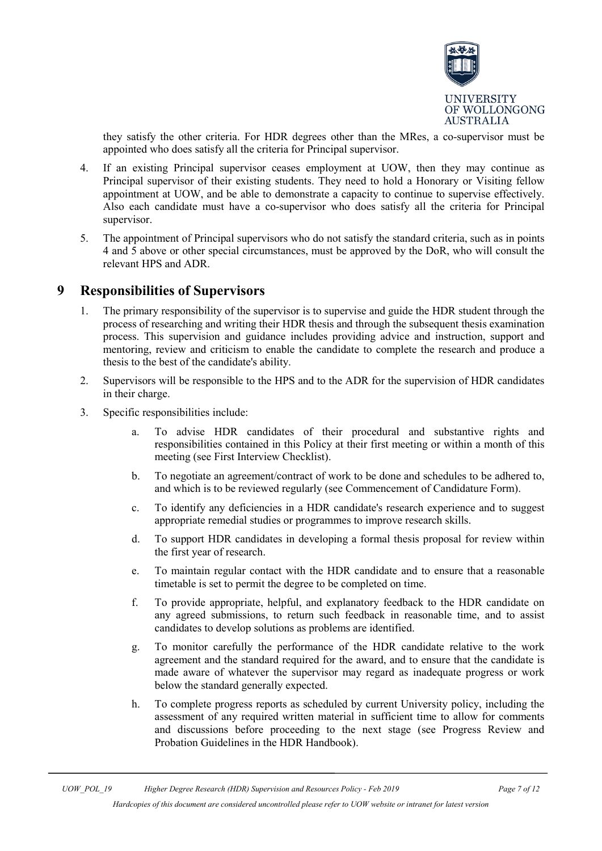

they satisfy the other criteria. For HDR degrees other than the MRes, a co-supervisor must be appointed who does satisfy all the criteria for Principal supervisor.

- 4. If an existing Principal supervisor ceases employment at UOW, then they may continue as Principal supervisor of their existing students. They need to hold a Honorary or Visiting fellow appointment at UOW, and be able to demonstrate a capacity to continue to supervise effectively. Also each candidate must have a co-supervisor who does satisfy all the criteria for Principal supervisor.
- 5. The appointment of Principal supervisors who do not satisfy the standard criteria, such as in points 4 and 5 above or other special circumstances, must be approved by the DoR, who will consult the relevant HPS and ADR.

#### <span id="page-6-0"></span>**9 Responsibilities of Supervisors**

- 1. The primary responsibility of the supervisor is to supervise and guide the HDR student through the process of researching and writing their HDR thesis and through the subsequent thesis examination process. This supervision and guidance includes providing advice and instruction, support and mentoring, review and criticism to enable the candidate to complete the research and produce a thesis to the best of the candidate's ability.
- 2. Supervisors will be responsible to the HPS and to the ADR for the supervision of HDR candidates in their charge.
- 3. Specific responsibilities include:
	- a. To advise HDR candidates of their procedural and substantive rights and responsibilities contained in this Policy at their first meeting or within a month of this meeting (see First Interview Checklist).
	- b. To negotiate an agreement/contract of work to be done and schedules to be adhered to, and which is to be reviewed regularly (see Commencement of Candidature Form).
	- c. To identify any deficiencies in a HDR candidate's research experience and to suggest appropriate remedial studies or programmes to improve research skills.
	- d. To support HDR candidates in developing a formal thesis proposal for review within the first year of research.
	- e. To maintain regular contact with the HDR candidate and to ensure that a reasonable timetable is set to permit the degree to be completed on time.
	- f. To provide appropriate, helpful, and explanatory feedback to the HDR candidate on any agreed submissions, to return such feedback in reasonable time, and to assist candidates to develop solutions as problems are identified.
	- g. To monitor carefully the performance of the HDR candidate relative to the work agreement and the standard required for the award, and to ensure that the candidate is made aware of whatever the supervisor may regard as inadequate progress or work below the standard generally expected.
	- h. To complete progress reports as scheduled by current University policy, including the assessment of any required written material in sufficient time to allow for comments and discussions before proceeding to the next stage (see Progress Review and Probation Guidelines in the HDR Handbook).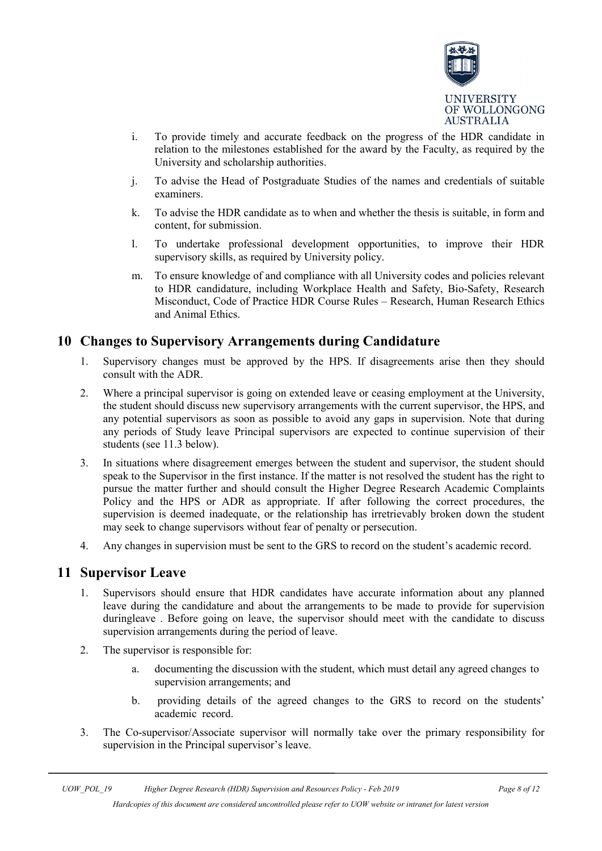

- i. To provide timely and accurate feedback on the progress of the HDR candidate in relation to the milestones established for the award by the Faculty, as required by the University and scholarship authorities.
- j. To advise the Head of Postgraduate Studies of the names and credentials of suitable examiners.
- k. To advise the HDR candidate as to when and whether the thesis is suitable, in form and content, for submission.
- l. To undertake professional development opportunities, to improve their HDR supervisory skills, as required by University policy.
- m. To ensure knowledge of and compliance with all University codes and policies relevant to HDR candidature, including Workplace Health and Safety, Bio-Safety, Research Misconduct, Code of Practice HDR Course Rules – Research, Human Research Ethics and Animal Ethics.

# <span id="page-7-0"></span>**10 Changes to Supervisory Arrangements during Candidature**

- 1. Supervisory changes must be approved by the HPS. If disagreements arise then they should consult with the ADR.
- 2. Where a principal supervisor is going on extended leave or ceasing employment at the University, the student should discuss new supervisory arrangements with the current supervisor, the HPS, and any potential supervisors as soon as possible to avoid any gaps in supervision. Note that during any periods of Study leave Principal supervisors are expected to continue supervision of their students (see 11.3 below).
- 3. In situations where disagreement emerges between the student and supervisor, the student should speak to the Supervisor in the first instance. If the matter is not resolved the student has the right to pursue the matter further and should consult the Higher Degree Research Academic Complaints Policy and the HPS or ADR as appropriate. If after following the correct procedures, the supervision is deemed inadequate, or the relationship has irretrievably broken down the student may seek to change supervisors without fear of penalty or persecution.
- 4. Any changes in supervision must be sent to the GRS to record on the student's academic record.

#### <span id="page-7-1"></span>**11 Supervisor Leave**

- 1. Supervisors should ensure that HDR candidates have accurate information about any planned leave during the candidature and about the arrangements to be made to provide for supervision duringleave . Before going on leave, the supervisor should meet with the candidate to discuss supervision arrangements during the period of leave.
- 2. The supervisor is responsible for:
	- a. documenting the discussion with the student, which must detail any agreed changes to supervision arrangements; and
	- b. providing details of the agreed changes to the GRS to record on the students' academic record.
- 3. The Co-supervisor/Associate supervisor will normally take over the primary responsibility for supervision in the Principal supervisor's leave.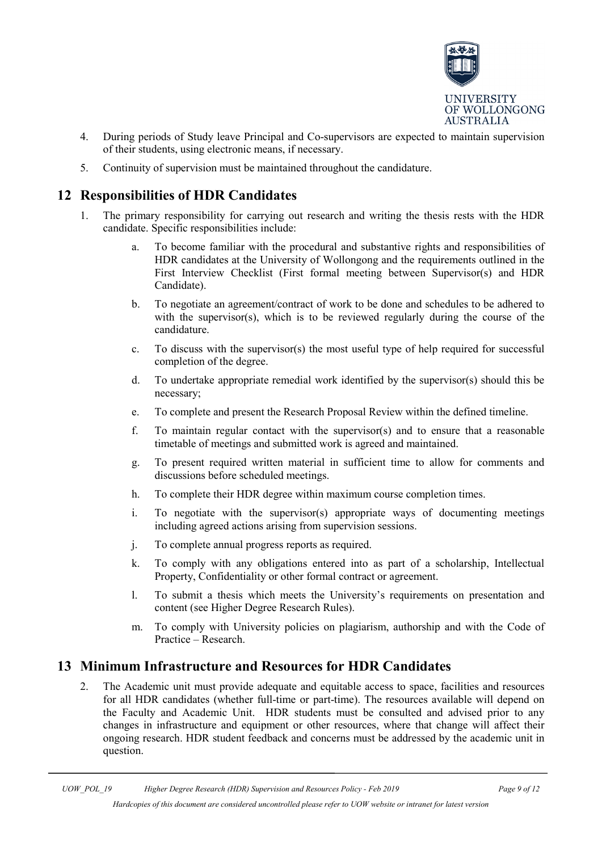

- 4. During periods of Study leave Principal and Co-supervisors are expected to maintain supervision of their students, using electronic means, if necessary.
- 5. Continuity of supervision must be maintained throughout the candidature.

# <span id="page-8-0"></span>**12 Responsibilities of HDR Candidates**

- 1. The primary responsibility for carrying out research and writing the thesis rests with the HDR candidate. Specific responsibilities include:
	- a. To become familiar with the procedural and substantive rights and responsibilities of HDR candidates at the University of Wollongong and the requirements outlined in the First Interview Checklist (First formal meeting between Supervisor(s) and HDR Candidate).
	- b. To negotiate an agreement/contract of work to be done and schedules to be adhered to with the supervisor(s), which is to be reviewed regularly during the course of the candidature.
	- c. To discuss with the supervisor(s) the most useful type of help required for successful completion of the degree.
	- d. To undertake appropriate remedial work identified by the supervisor(s) should this be necessary;
	- e. To complete and present the Research Proposal Review within the defined timeline.
	- f. To maintain regular contact with the supervisor(s) and to ensure that a reasonable timetable of meetings and submitted work is agreed and maintained.
	- g. To present required written material in sufficient time to allow for comments and discussions before scheduled meetings.
	- h. To complete their HDR degree within maximum course completion times.
	- i. To negotiate with the supervisor(s) appropriate ways of documenting meetings including agreed actions arising from supervision sessions.
	- j. To complete annual progress reports as required.
	- k. To comply with any obligations entered into as part of a scholarship, Intellectual Property, Confidentiality or other formal contract or agreement.
	- l. To submit a thesis which meets the University's requirements on presentation and content (see Higher Degree Research Rules).
	- m. To comply with University policies on plagiarism, authorship and with the Code of Practice – Research.

## <span id="page-8-1"></span>**13 Minimum Infrastructure and Resources for HDR Candidates**

2. The Academic unit must provide adequate and equitable access to space, facilities and resources for all HDR candidates (whether full-time or part-time). The resources available will depend on the Faculty and Academic Unit. HDR students must be consulted and advised prior to any changes in infrastructure and equipment or other resources, where that change will affect their ongoing research. HDR student feedback and concerns must be addressed by the academic unit in question.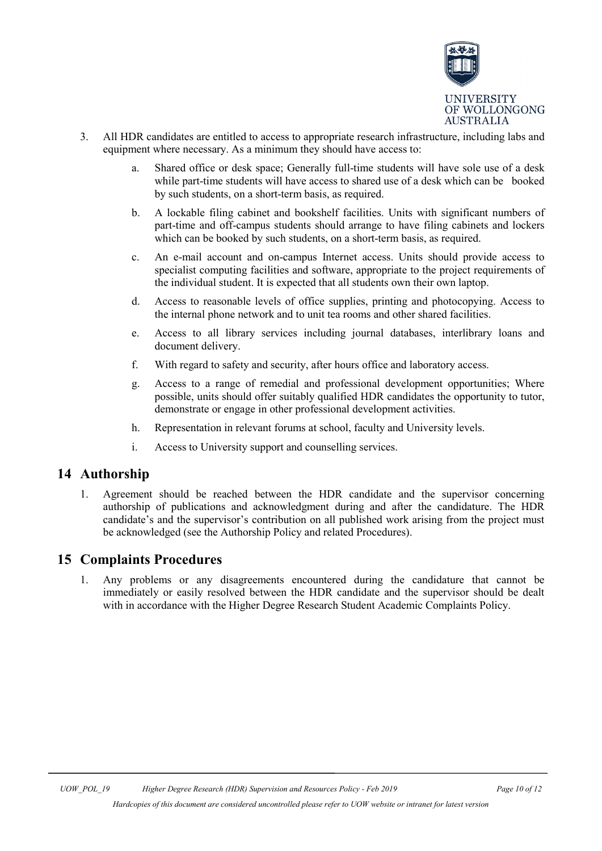

- 3. All HDR candidates are entitled to access to appropriate research infrastructure, including labs and equipment where necessary. As a minimum they should have access to:
	- a. Shared office or desk space; Generally full-time students will have sole use of a desk while part-time students will have access to shared use of a desk which can be booked by such students, on a short-term basis, as required.
	- b. A lockable filing cabinet and bookshelf facilities. Units with significant numbers of part-time and off-campus students should arrange to have filing cabinets and lockers which can be booked by such students, on a short-term basis, as required.
	- c. An e-mail account and on-campus Internet access. Units should provide access to specialist computing facilities and software, appropriate to the project requirements of the individual student. It is expected that all students own their own laptop.
	- d. Access to reasonable levels of office supplies, printing and photocopying. Access to the internal phone network and to unit tea rooms and other shared facilities.
	- e. Access to all library services including journal databases, interlibrary loans and document delivery.
	- f. With regard to safety and security, after hours office and laboratory access.
	- g. Access to a range of remedial and professional development opportunities; Where possible, units should offer suitably qualified HDR candidates the opportunity to tutor, demonstrate or engage in other professional development activities.
	- h. Representation in relevant forums at school, faculty and University levels.
	- i. Access to University support and counselling services.

### <span id="page-9-0"></span>**14 Authorship**

1. Agreement should be reached between the HDR candidate and the supervisor concerning authorship of publications and acknowledgment during and after the candidature. The HDR candidate's and the supervisor's contribution on all published work arising from the project must be acknowledged (see the Authorship Policy and related Procedures).

### <span id="page-9-1"></span>**15 Complaints Procedures**

1. Any problems or any disagreements encountered during the candidature that cannot be immediately or easily resolved between the HDR candidate and the supervisor should be dealt with in accordance with the Higher Degree Research Student Academic Complaints Policy.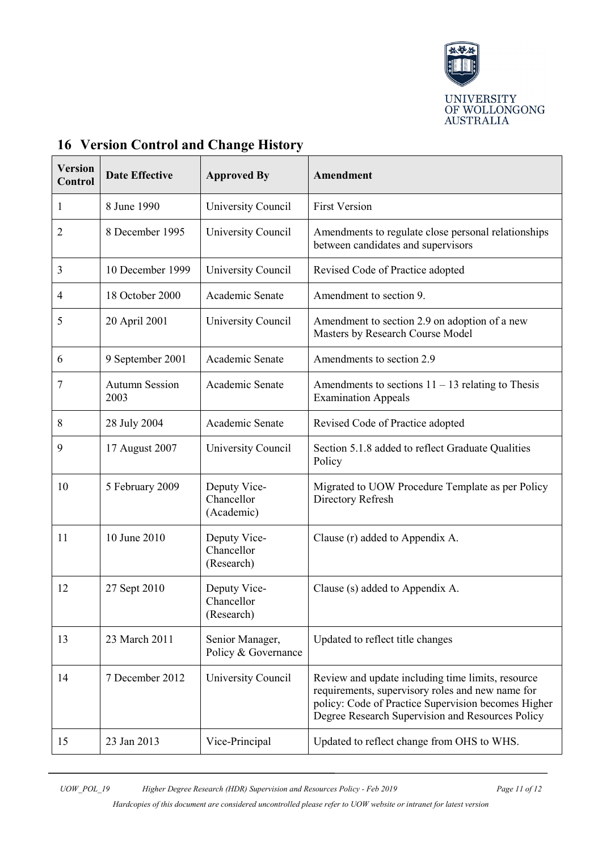

| <b>Version</b><br>Control | <b>Date Effective</b>         | <b>Approved By</b>                       | Amendment                                                                                                                                                                                                        |
|---------------------------|-------------------------------|------------------------------------------|------------------------------------------------------------------------------------------------------------------------------------------------------------------------------------------------------------------|
| 1                         | 8 June 1990                   | University Council                       | <b>First Version</b>                                                                                                                                                                                             |
| 2                         | 8 December 1995               | University Council                       | Amendments to regulate close personal relationships<br>between candidates and supervisors                                                                                                                        |
| 3                         | 10 December 1999              | University Council                       | Revised Code of Practice adopted                                                                                                                                                                                 |
| 4                         | 18 October 2000               | Academic Senate                          | Amendment to section 9.                                                                                                                                                                                          |
| 5                         | 20 April 2001                 | University Council                       | Amendment to section 2.9 on adoption of a new<br>Masters by Research Course Model                                                                                                                                |
| 6                         | 9 September 2001              | Academic Senate                          | Amendments to section 2.9                                                                                                                                                                                        |
| 7                         | <b>Autumn Session</b><br>2003 | Academic Senate                          | Amendments to sections $11 - 13$ relating to Thesis<br><b>Examination Appeals</b>                                                                                                                                |
| 8                         | 28 July 2004                  | Academic Senate                          | Revised Code of Practice adopted                                                                                                                                                                                 |
| 9                         | 17 August 2007                | University Council                       | Section 5.1.8 added to reflect Graduate Qualities<br>Policy                                                                                                                                                      |
| 10                        | 5 February 2009               | Deputy Vice-<br>Chancellor<br>(Academic) | Migrated to UOW Procedure Template as per Policy<br>Directory Refresh                                                                                                                                            |
| 11                        | 10 June 2010                  | Deputy Vice-<br>Chancellor<br>(Research) | Clause (r) added to Appendix A.                                                                                                                                                                                  |
| 12                        | 27 Sept 2010                  | Deputy Vice-<br>Chancellor<br>(Research) | Clause (s) added to Appendix A.                                                                                                                                                                                  |
| 13                        | 23 March 2011                 | Senior Manager,<br>Policy & Governance   | Updated to reflect title changes                                                                                                                                                                                 |
| 14                        | 7 December 2012               | University Council                       | Review and update including time limits, resource<br>requirements, supervisory roles and new name for<br>policy: Code of Practice Supervision becomes Higher<br>Degree Research Supervision and Resources Policy |
| 15                        | 23 Jan 2013                   | Vice-Principal                           | Updated to reflect change from OHS to WHS.                                                                                                                                                                       |

# <span id="page-10-0"></span>**16 Version Control and Change History**

*UOW\_POL\_19 Higher Degree Research (HDR) Supervision and Resources Policy - Feb 2019 Page 11 of 12*

*Hardcopies of this document are considered uncontrolled please refer to UOW website or intranet for latest version*